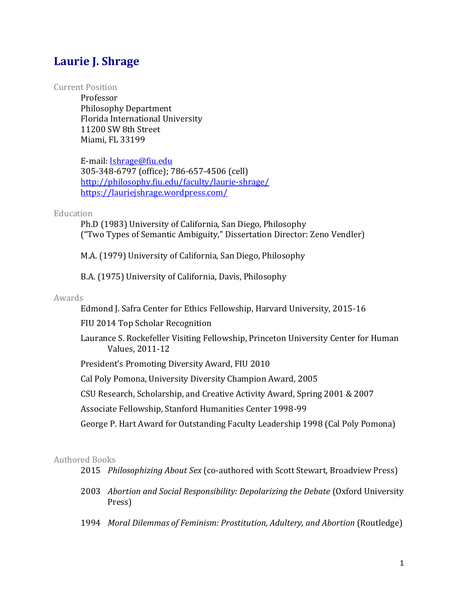# **Laurie J. Shrage**

#### Current Position

Professor Philosophy Department Florida International University 11200 SW 8th Street Miami, FL 33199

E-mail: [lshrage@fiu.edu](mailto:lshrage@fiu.edu)  305-348-6797 (office); 786-657-4506 (cell) <http://philosophy.fiu.edu/faculty/laurie-shrage/> <https://lauriejshrage.wordpress.com/>

#### Education

Ph.D (1983) University of California, San Diego, Philosophy ("Two Types of Semantic Ambiguity," Dissertation Director: Zeno Vendler)

M.A. (1979) University of California, San Diego, Philosophy

B.A. (1975) University of California, Davis, Philosophy

#### Awards

Edmond J. Safra Center for Ethics Fellowship, Harvard University, 2015-16

FIU 2014 Top Scholar Recognition

Laurance S. Rockefeller Visiting Fellowship, Princeton University Center for Human Values, 2011-12

President's Promoting Diversity Award, FIU 2010

Cal Poly Pomona, University Diversity Champion Award, 2005

CSU Research, Scholarship, and Creative Activity Award, Spring 2001 & 2007

Associate Fellowship, Stanford Humanities Center 1998-99

George P. Hart Award for Outstanding Faculty Leadership 1998 (Cal Poly Pomona)

#### Authored Books

2015 *Philosophizing About Sex* (co-authored with Scott Stewart, Broadview Press)

- 2003 *Abortion and Social Responsibility: Depolarizing the Debate* (Oxford University Press)
- 1994 *Moral Dilemmas of Feminism: Prostitution, Adultery, and Abortion* (Routledge)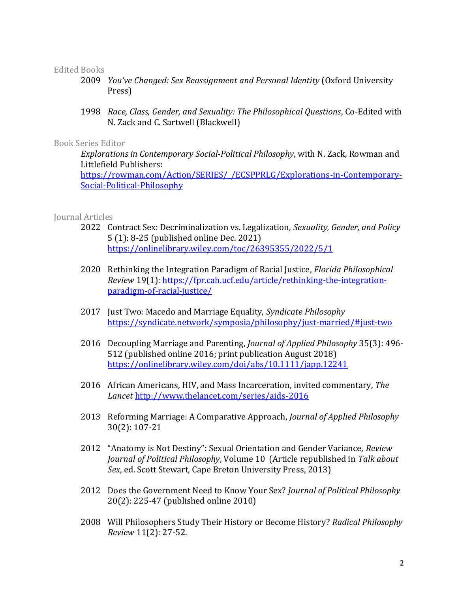## Edited Books

- 2009 *You've Changed: Sex Reassignment and Personal Identity* (Oxford University Press)
- 1998 *Race, Class, Gender, and Sexuality: The Philosophical Questions*, Co-Edited with N. Zack and C. Sartwell (Blackwell)

#### Book Series Editor

*Explorations in Contemporary Social-Political Philosophy*, with N. Zack, Rowman and Littlefield Publishers: [https://rowman.com/Action/SERIES/\\_/ECSPPRLG/Explorations-in-Contemporary-](https://rowman.com/Action/SERIES/_/ECSPPRLG/Explorations-in-Contemporary-Social-Political-Philosophy)[Social-Political-Philosophy](https://rowman.com/Action/SERIES/_/ECSPPRLG/Explorations-in-Contemporary-Social-Political-Philosophy)

## Journal Articles

- 2022 Contract Sex: Decriminalization vs. Legalization, *Sexuality, Gender, and Policy* 5 (1): 8-25 (published online Dec. 2021) <https://onlinelibrary.wiley.com/toc/26395355/2022/5/1>
- 2020 Rethinking the Integration Paradigm of Racial Justice, *Florida Philosophical Review* 19(1): [https://fpr.cah.ucf.edu/article/rethinking-the-integration](https://fpr.cah.ucf.edu/article/rethinking-the-integration-paradigm-of-racial-justice/)[paradigm-of-racial-justice/](https://fpr.cah.ucf.edu/article/rethinking-the-integration-paradigm-of-racial-justice/)
- 2017 Just Two: Macedo and Marriage Equality, *Syndicate Philosophy* <https://syndicate.network/symposia/philosophy/just-married/#just-two>
- 2016 Decoupling Marriage and Parenting, *Journal of Applied Philosophy* 35(3): 496- 512 (published online 2016; print publication August 2018) <https://onlinelibrary.wiley.com/doi/abs/10.1111/japp.12241>
- 2016 African Americans, HIV, and Mass Incarceration, invited commentary, *The Lancet* <http://www.thelancet.com/series/aids-2016>
- 2013 Reforming Marriage: A Comparative Approach, *Journal of Applied Philosophy* 30(2): 107-21
- 2012 "Anatomy is Not Destiny": Sexual Orientation and Gender Variance, *Review Journal of Political Philosophy*, Volume 10 (Article republished in *Talk about Sex*, ed. Scott Stewart, Cape Breton University Press, 2013)
- 2012 Does the Government Need to Know Your Sex? *Journal of Political Philosophy* 20(2): 225-47 (published online 2010)
- 2008 Will Philosophers Study Their History or Become History? *Radical Philosophy Review* 11(2): 27-52.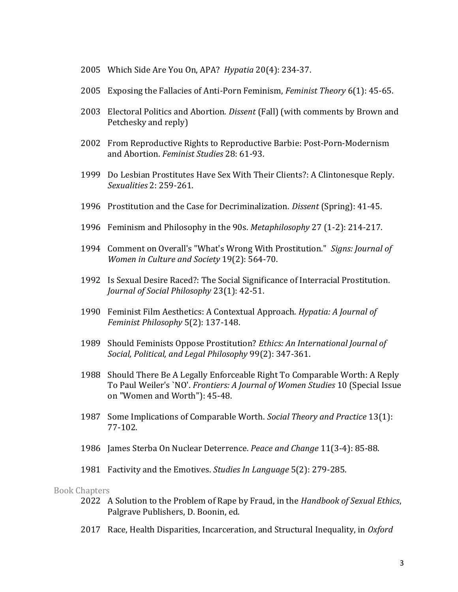- 2005 Which Side Are You On, APA? *Hypatia* 20(4): 234-37.
- 2005 Exposing the Fallacies of Anti-Porn Feminism, *Feminist Theory* 6(1): 45-65.
- 2003 Electoral Politics and Abortion. *Dissent* (Fall) (with comments by Brown and Petchesky and reply)
- 2002 From Reproductive Rights to Reproductive Barbie: Post-Porn-Modernism and Abortion. *Feminist Studies* 28: 61-93.
- 1999 Do Lesbian Prostitutes Have Sex With Their Clients?: A Clintonesque Reply. *Sexualities* 2: 259-261.
- 1996 Prostitution and the Case for Decriminalization. *Dissent* (Spring): 41-45.
- 1996 Feminism and Philosophy in the 90s. *Metaphilosophy* 27 (1-2): 214-217.
- 1994 Comment on Overall's "What's Wrong With Prostitution." *Signs: Journal of Women in Culture and Society* 19(2): 564-70.
- 1992 Is Sexual Desire Raced?: The Social Significance of Interracial Prostitution. *Journal of Social Philosophy* 23(1): 42-51.
- 1990 Feminist Film Aesthetics: A Contextual Approach. *Hypatia: A Journal of Feminist Philosophy* 5(2): 137-148.
- 1989 Should Feminists Oppose Prostitution? *Ethics: An International Journal of Social, Political, and Legal Philosophy* 99(2): 347-361.
- 1988 Should There Be A Legally Enforceable Right To Comparable Worth: A Reply To Paul Weiler's `NO'. *Frontiers: A Journal of Women Studies* 10 (Special Issue on "Women and Worth"): 45-48.
- 1987 Some Implications of Comparable Worth. *Social Theory and Practice* 13(1): 77-102.
- 1986 James Sterba On Nuclear Deterrence. *Peace and Change* 11(3-4): 85-88.
- 1981 Factivity and the Emotives. *Studies In Language* 5(2): 279-285.

#### Book Chapters

- 2022 A Solution to the Problem of Rape by Fraud, in the *Handbook of Sexual Ethics*, Palgrave Publishers, D. Boonin, ed.
- 2017 Race, Health Disparities, Incarceration, and Structural Inequality, in *Oxford*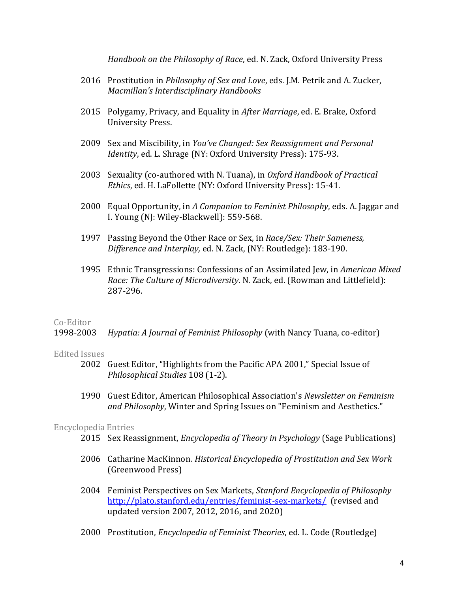*Handbook on the Philosophy of Race*, ed. N. Zack, Oxford University Press

- 2016 Prostitution in *Philosophy of Sex and Love*, eds. J.M. Petrik and A. Zucker, *Macmillan's Interdisciplinary Handbooks*
- 2015 Polygamy, Privacy, and Equality in *After Marriage*, ed. E. Brake, Oxford University Press.
- 2009 Sex and Miscibility, in *You've Changed: Sex Reassignment and Personal Identity*, ed. L. Shrage (NY: Oxford University Press): 175-93.
- 2003 Sexuality (co-authored with N. Tuana), in *Oxford Handbook of Practical Ethics*, ed. H. LaFollette (NY: Oxford University Press): 15-41.
- 2000 Equal Opportunity, in *A Companion to Feminist Philosophy*, eds. A. Jaggar and I. Young (NJ: Wiley-Blackwell): 559-568.
- 1997 Passing Beyond the Other Race or Sex, in *Race/Sex: Their Sameness, Difference and Interplay,* ed. N. Zack, (NY: Routledge): 183-190.
- 1995 Ethnic Transgressions: Confessions of an Assimilated Jew, in *American Mixed Race: The Culture of Microdiversity*. N. Zack, ed. (Rowman and Littlefield): 287-296.

## Co-Editor

1998-2003 *Hypatia: A Journal of Feminist Philosophy* (with Nancy Tuana, co-editor)

#### Edited Issues

- 2002 Guest Editor, "Highlights from the Pacific APA 2001," Special Issue of *Philosophical Studies* 108 (1-2).
- 1990 Guest Editor, American Philosophical Association's *Newsletter on Feminism and Philosophy*, Winter and Spring Issues on "Feminism and Aesthetics."

## Encyclopedia Entries

- 2015 Sex Reassignment, *Encyclopedia of Theory in Psychology* (Sage Publications)
- 2006 Catharine MacKinnon. *Historical Encyclopedia of Prostitution and Sex Work* (Greenwood Press)
- 2004 Feminist Perspectives on Sex Markets, *Stanford Encyclopedia of Philosophy* <http://plato.stanford.edu/entries/feminist-sex-markets/>(revised and updated version 2007, 2012, 2016, and 2020)
- 2000 Prostitution, *Encyclopedia of Feminist Theories*, ed. L. Code (Routledge)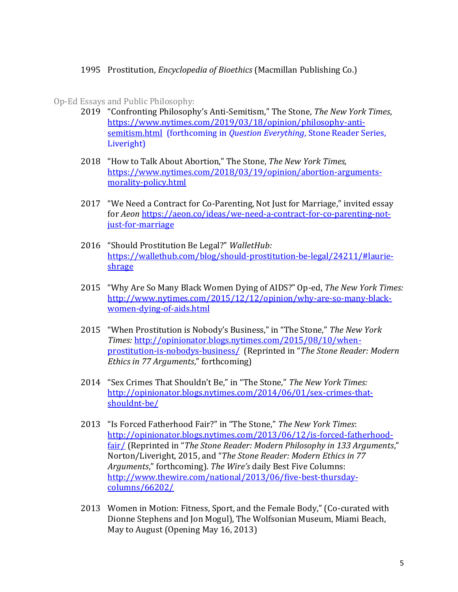# 1995 Prostitution, *Encyclopedia of Bioethics* (Macmillan Publishing Co.)

# Op-Ed Essays and Public Philosophy:

- 2019 "Confronting Philosophy's Anti-Semitism," The Stone, *The New York Times*, [https://www.nytimes.com/2019/03/18/opinion/philosophy-anti](https://www.nytimes.com/2019/03/18/opinion/philosophy-anti-semitism.html)[semitism.html](https://www.nytimes.com/2019/03/18/opinion/philosophy-anti-semitism.html) (forthcoming in *Question Everything*, Stone Reader Series, Liveright)
- 2018 "How to Talk About Abortion," The Stone, *The New York Times,* [https://www.nytimes.com/2018/03/19/opinion/abortion-arguments](https://www.nytimes.com/2018/03/19/opinion/abortion-arguments-morality-policy.html)[morality-policy.html](https://www.nytimes.com/2018/03/19/opinion/abortion-arguments-morality-policy.html)
- 2017 "We Need a Contract for Co-Parenting, Not Just for Marriage," invited essay for *Aeon* [https://aeon.co/ideas/we-need-a-contract-for-co-parenting-not](https://aeon.co/ideas/we-need-a-contract-for-co-parenting-not-just-for-marriage)[just-for-marriage](https://aeon.co/ideas/we-need-a-contract-for-co-parenting-not-just-for-marriage)
- 2016 "Should Prostitution Be Legal?" *WalletHub:* [https://wallethub.com/blog/should-prostitution-be-legal/24211/#laurie](https://wallethub.com/blog/should-prostitution-be-legal/24211/#laurie-shrage)[shrage](https://wallethub.com/blog/should-prostitution-be-legal/24211/#laurie-shrage)
- 2015 "Why Are So Many Black Women Dying of AIDS?" Op-ed, *The New York Times:* [http://www.nytimes.com/2015/12/12/opinion/why-are-so-many-black](http://www.nytimes.com/2015/12/12/opinion/why-are-so-many-black-women-dying-of-aids.html)[women-dying-of-aids.html](http://www.nytimes.com/2015/12/12/opinion/why-are-so-many-black-women-dying-of-aids.html)
- 2015 "When Prostitution is Nobody's Business," in "The Stone," *The New York Times:* [http://opinionator.blogs.nytimes.com/2015/08/10/when](http://opinionator.blogs.nytimes.com/2015/08/10/when-prostitution-is-nobodys-business/)[prostitution-is-nobodys-business/](http://opinionator.blogs.nytimes.com/2015/08/10/when-prostitution-is-nobodys-business/) (Reprinted in "*The Stone Reader: Modern Ethics in 77 Arguments*," forthcoming)
- 2014 "Sex Crimes That Shouldn't Be," in "The Stone," *The New York Times:* [http://opinionator.blogs.nytimes.com/2014/06/01/sex-crimes-that](http://opinionator.blogs.nytimes.com/2014/06/01/sex-crimes-that-shouldnt-be/)[shouldnt-be/](http://opinionator.blogs.nytimes.com/2014/06/01/sex-crimes-that-shouldnt-be/)
- 2013 "Is Forced Fatherhood Fair?" in "The Stone," *The New York Times*: [http://opinionator.blogs.nytimes.com/2013/06/12/is-forced-fatherhood](http://opinionator.blogs.nytimes.com/2013/06/12/is-forced-fatherhood-fair/)[fair/](http://opinionator.blogs.nytimes.com/2013/06/12/is-forced-fatherhood-fair/) (Reprinted in "*The Stone Reader: Modern Philosophy in 133 Arguments*," Norton/Liveright, 2015, and "*The Stone Reader: Modern Ethics in 77 Arguments*," forthcoming). *The Wire's* daily Best Five Columns: [http://www.thewire.com/national/2013/06/five-best-thursday](http://www.thewire.com/national/2013/06/five-best-thursday-columns/66202/)[columns/66202/](http://www.thewire.com/national/2013/06/five-best-thursday-columns/66202/)
- 2013 Women in Motion: Fitness, Sport, and the Female Body," (Co-curated with Dionne Stephens and Jon Mogul), The Wolfsonian Museum, Miami Beach, May to August (Opening May 16, 2013)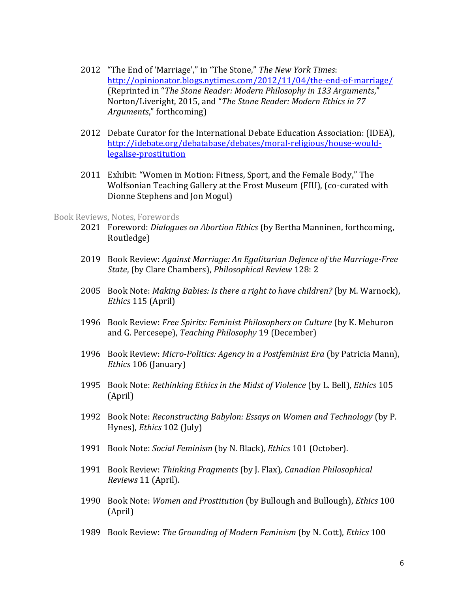- 2012 "The End of 'Marriage'," in "The Stone," *The New York Times*: <http://opinionator.blogs.nytimes.com/2012/11/04/the-end-of-marriage/> (Reprinted in "*The Stone Reader: Modern Philosophy in 133 Arguments*," Norton/Liveright, 2015, and "*The Stone Reader: Modern Ethics in 77 Arguments*," forthcoming)
- 2012 Debate Curator for the International Debate Education Association: (IDEA), [http://idebate.org/debatabase/debates/moral-religious/house-would](http://idebate.org/debatabase/debates/moral-religious/house-would-legalise-prostitution)[legalise-prostitution](http://idebate.org/debatabase/debates/moral-religious/house-would-legalise-prostitution)
- 2011 Exhibit: "Women in Motion: Fitness, Sport, and the Female Body," The Wolfsonian Teaching Gallery at the Frost Museum (FIU), (co-curated with Dionne Stephens and Jon Mogul)

#### Book Reviews, Notes, Forewords

- 2021 Foreword: *Dialogues on Abortion Ethics* (by Bertha Manninen, forthcoming, Routledge)
- 2019 Book Review: *Against Marriage: An Egalitarian Defence of the Marriage-Free State*, (by Clare Chambers), *Philosophical Review* 128: 2
- 2005 Book Note: *Making Babies: Is there a right to have children?* (by M. Warnock), *Ethics* 115 (April)
- 1996 Book Review: *Free Spirits: Feminist Philosophers on Culture* (by K. Mehuron and G. Percesepe), *Teaching Philosophy* 19 (December)
- 1996 Book Review: *Micro-Politics: Agency in a Postfeminist Era* (by Patricia Mann), *Ethics* 106 (January)
- 1995 Book Note: *Rethinking Ethics in the Midst of Violence* (by L. Bell), *Ethics* 105 (April)
- 1992 Book Note: *Reconstructing Babylon: Essays on Women and Technology* (by P. Hynes), *Ethics* 102 (July)
- 1991 Book Note: *Social Feminism* (by N. Black), *Ethics* 101 (October).
- 1991 Book Review: *Thinking Fragments* (by J. Flax), *Canadian Philosophical Reviews* 11 (April).
- 1990 Book Note: *Women and Prostitution* (by Bullough and Bullough), *Ethics* 100 (April)
- 1989 Book Review: *The Grounding of Modern Feminism* (by N. Cott), *Ethics* 100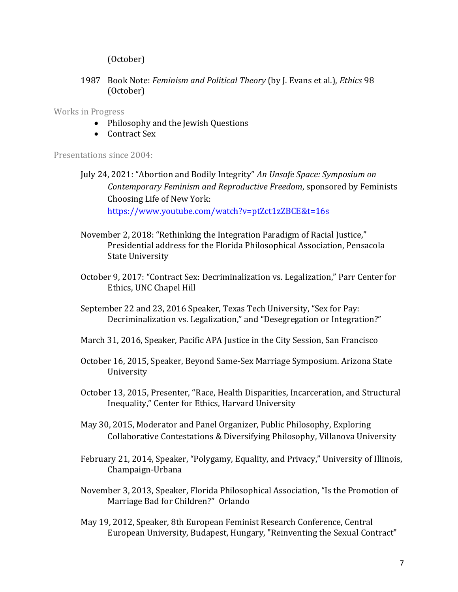(October)

1987 Book Note: *Feminism and Political Theory* (by J. Evans et al.), *Ethics* 98 (October)

Works in Progress

- Philosophy and the Jewish Questions
- Contract Sex

Presentations since 2004:

July 24, 2021: "Abortion and Bodily Integrity" *An Unsafe Space: Symposium on Contemporary Feminism and Reproductive Freedom*, sponsored by Feminists Choosing Life of New York: <https://www.youtube.com/watch?v=ptZct1zZBCE&t=16s>

- November 2, 2018: "Rethinking the Integration Paradigm of Racial Justice," Presidential address for the Florida Philosophical Association, Pensacola State University
- October 9, 2017: "Contract Sex: Decriminalization vs. Legalization," Parr Center for Ethics, UNC Chapel Hill
- September 22 and 23, 2016 Speaker, Texas Tech University, "Sex for Pay: Decriminalization vs. Legalization," and "Desegregation or Integration?"
- March 31, 2016, Speaker, Pacific APA Justice in the City Session, San Francisco
- October 16, 2015, Speaker, Beyond Same-Sex Marriage Symposium. Arizona State University
- October 13, 2015, Presenter, "Race, Health Disparities, Incarceration, and Structural Inequality," Center for Ethics, Harvard University
- May 30, 2015, Moderator and Panel Organizer, Public Philosophy, Exploring Collaborative Contestations & Diversifying Philosophy, Villanova University
- February 21, 2014, Speaker, "Polygamy, Equality, and Privacy," University of Illinois, Champaign-Urbana
- November 3, 2013, Speaker, Florida Philosophical Association, "Is the Promotion of Marriage Bad for Children?" Orlando
- May 19, 2012, Speaker, 8th European Feminist Research Conference, Central European University, Budapest, Hungary, "Reinventing the Sexual Contract"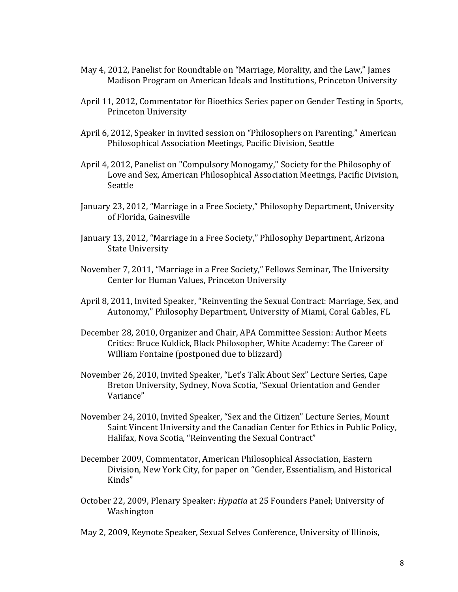- May 4, 2012, Panelist for Roundtable on "Marriage, Morality, and the Law," James Madison Program on American Ideals and Institutions, Princeton University
- April 11, 2012, Commentator for Bioethics Series paper on Gender Testing in Sports, Princeton University
- April 6, 2012, Speaker in invited session on "Philosophers on Parenting," American Philosophical Association Meetings, Pacific Division, Seattle
- April 4, 2012, Panelist on "Compulsory Monogamy," Society for the Philosophy of Love and Sex, American Philosophical Association Meetings, Pacific Division, Seattle
- January 23, 2012, "Marriage in a Free Society," Philosophy Department, University of Florida, Gainesville
- January 13, 2012, "Marriage in a Free Society," Philosophy Department, Arizona State University
- November 7, 2011, "Marriage in a Free Society," Fellows Seminar, The University Center for Human Values, Princeton University
- April 8, 2011, Invited Speaker, "Reinventing the Sexual Contract: Marriage, Sex, and Autonomy," Philosophy Department, University of Miami, Coral Gables, FL
- December 28, 2010, Organizer and Chair, APA Committee Session: Author Meets Critics: Bruce Kuklick, Black Philosopher, White Academy: The Career of William Fontaine (postponed due to blizzard)
- November 26, 2010, Invited Speaker, "Let's Talk About Sex" Lecture Series, Cape Breton University, Sydney, Nova Scotia, "Sexual Orientation and Gender Variance"
- November 24, 2010, Invited Speaker, "Sex and the Citizen" Lecture Series, Mount Saint Vincent University and the Canadian Center for Ethics in Public Policy, Halifax, Nova Scotia, "Reinventing the Sexual Contract"
- December 2009, Commentator, American Philosophical Association, Eastern Division, New York City, for paper on "Gender, Essentialism, and Historical Kinds"
- October 22, 2009, Plenary Speaker: *Hypatia* at 25 Founders Panel; University of Washington

May 2, 2009, Keynote Speaker, Sexual Selves Conference, University of Illinois,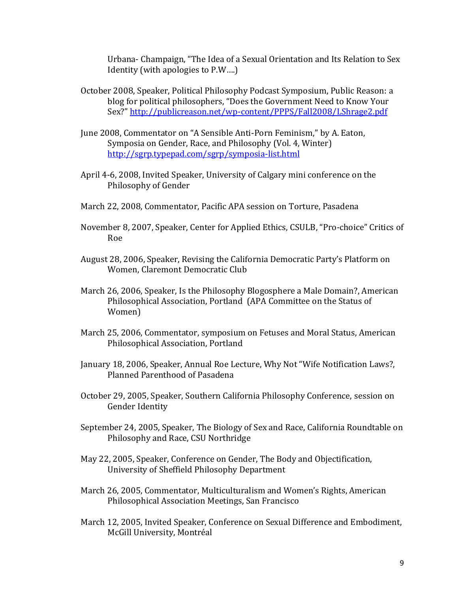Urbana- Champaign, "The Idea of a Sexual Orientation and Its Relation to Sex Identity (with apologies to P.W….)

- October 2008, Speaker, Political Philosophy Podcast Symposium, Public Reason: a blog for political philosophers, "Does the Government Need to Know Your Sex?" <http://publicreason.net/wp-content/PPPS/Fall2008/LShrage2.pdf>
- June 2008, Commentator on "A Sensible Anti-Porn Feminism," by A. Eaton, Symposia on Gender, Race, and Philosophy (Vol. 4, Winter) <http://sgrp.typepad.com/sgrp/symposia-list.html>
- April 4-6, 2008, Invited Speaker, University of Calgary mini conference on the Philosophy of Gender
- March 22, 2008, Commentator, Pacific APA session on Torture, Pasadena
- November 8, 2007, Speaker, Center for Applied Ethics, CSULB, "Pro-choice" Critics of Roe
- August 28, 2006, Speaker, Revising the California Democratic Party's Platform on Women, Claremont Democratic Club
- March 26, 2006, Speaker, Is the Philosophy Blogosphere a Male Domain?, American Philosophical Association, Portland (APA Committee on the Status of Women)
- March 25, 2006, Commentator, symposium on Fetuses and Moral Status, American Philosophical Association, Portland
- January 18, 2006, Speaker, Annual Roe Lecture, Why Not "Wife Notification Laws?, Planned Parenthood of Pasadena
- October 29, 2005, Speaker, Southern California Philosophy Conference, session on Gender Identity
- September 24, 2005, Speaker, The Biology of Sex and Race, California Roundtable on Philosophy and Race, CSU Northridge
- May 22, 2005, Speaker, Conference on Gender, The Body and Objectification, University of Sheffield Philosophy Department
- March 26, 2005, Commentator, Multiculturalism and Women's Rights, American Philosophical Association Meetings, San Francisco
- March 12, 2005, Invited Speaker, Conference on Sexual Difference and Embodiment, McGill University, Montréal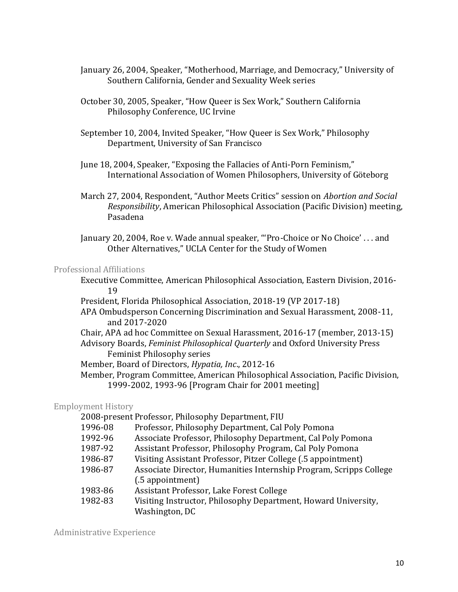- January 26, 2004, Speaker, "Motherhood, Marriage, and Democracy," University of Southern California, Gender and Sexuality Week series
- October 30, 2005, Speaker, "How Queer is Sex Work," Southern California Philosophy Conference, UC Irvine
- September 10, 2004, Invited Speaker, "How Queer is Sex Work," Philosophy Department, University of San Francisco
- June 18, 2004, Speaker, "Exposing the Fallacies of Anti-Porn Feminism," International Association of Women Philosophers, University of Göteborg
- March 27, 2004, Respondent, "Author Meets Critics" session on *Abortion and Social Responsibility*, American Philosophical Association (Pacific Division) meeting, Pasadena
- January 20, 2004, Roe v. Wade annual speaker, "'Pro-Choice or No Choice' . . . and Other Alternatives," UCLA Center for the Study of Women

## Professional Affiliations

- Executive Committee, American Philosophical Association, Eastern Division, 2016- 19
- President, Florida Philosophical Association, 2018-19 (VP 2017-18)
- APA Ombudsperson Concerning Discrimination and Sexual Harassment, 2008-11, and 2017-2020
- Chair, APA ad hoc Committee on Sexual Harassment, 2016-17 (member, 2013-15)
- Advisory Boards, *Feminist Philosophical Quarterly* and Oxford University Press Feminist Philosophy series
- Member, Board of Directors, *Hypatia, Inc*., 2012-16
- Member, Program Committee, American Philosophical Association, Pacific Division, 1999-2002, 1993-96 [Program Chair for 2001 meeting]

# Employment History

- 2008-present Professor, Philosophy Department, FIU
- 1996-08 Professor, Philosophy Department, Cal Poly Pomona
- 1992-96 Associate Professor, Philosophy Department, Cal Poly Pomona
- 1987-92 Assistant Professor, Philosophy Program, Cal Poly Pomona
- 1986-87 Visiting Assistant Professor, Pitzer College (.5 appointment)
- 1986-87 Associate Director, Humanities Internship Program, Scripps College (.5 appointment)
- 1983-86 Assistant Professor, Lake Forest College
- 1982-83 Visiting Instructor, Philosophy Department, Howard University, Washington, DC

Administrative Experience